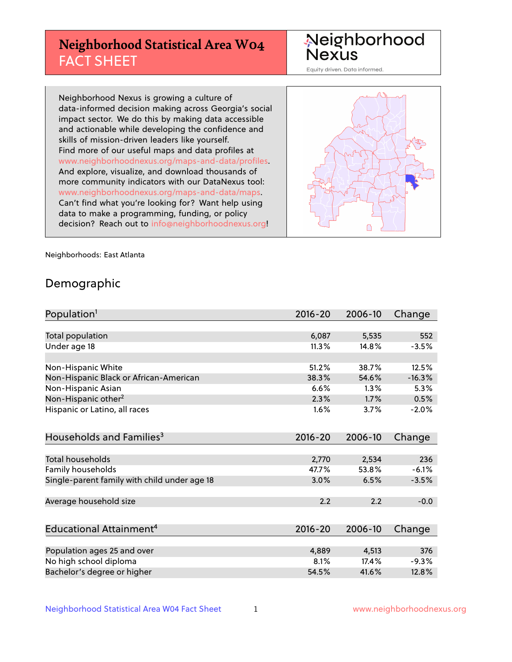## **Neighborhood Statistical Area W04** FACT SHEET

Neighborhood Nexus

Equity driven. Data informed.

Neighborhood Nexus is growing a culture of data-informed decision making across Georgia's social impact sector. We do this by making data accessible and actionable while developing the confidence and skills of mission-driven leaders like yourself. Find more of our useful maps and data profiles at www.neighborhoodnexus.org/maps-and-data/profiles. And explore, visualize, and download thousands of more community indicators with our DataNexus tool: www.neighborhoodnexus.org/maps-and-data/maps. Can't find what you're looking for? Want help using data to make a programming, funding, or policy decision? Reach out to [info@neighborhoodnexus.org!](mailto:info@neighborhoodnexus.org)



Neighborhoods: East Atlanta

### Demographic

| Population <sup>1</sup>                      | $2016 - 20$ | 2006-10 | Change   |
|----------------------------------------------|-------------|---------|----------|
|                                              |             |         |          |
| Total population                             | 6,087       | 5,535   | 552      |
| Under age 18                                 | 11.3%       | 14.8%   | $-3.5%$  |
| Non-Hispanic White                           | 51.2%       | 38.7%   | 12.5%    |
| Non-Hispanic Black or African-American       | 38.3%       | 54.6%   | $-16.3%$ |
| Non-Hispanic Asian                           | 6.6%        | $1.3\%$ | 5.3%     |
| Non-Hispanic other <sup>2</sup>              | 2.3%        | 1.7%    | 0.5%     |
| Hispanic or Latino, all races                | 1.6%        | 3.7%    | $-2.0%$  |
| Households and Families <sup>3</sup>         | $2016 - 20$ | 2006-10 | Change   |
|                                              |             |         |          |
| <b>Total households</b>                      | 2,770       | 2,534   | 236      |
| Family households                            | 47.7%       | 53.8%   | $-6.1%$  |
| Single-parent family with child under age 18 | 3.0%        | 6.5%    | $-3.5%$  |
| Average household size                       | 2.2         | 2.2     | $-0.0$   |
|                                              |             |         |          |
| Educational Attainment <sup>4</sup>          | $2016 - 20$ | 2006-10 | Change   |
|                                              |             |         |          |
| Population ages 25 and over                  | 4,889       | 4,513   | 376      |
| No high school diploma                       | 8.1%        | 17.4%   | $-9.3%$  |
| Bachelor's degree or higher                  | 54.5%       | 41.6%   | 12.8%    |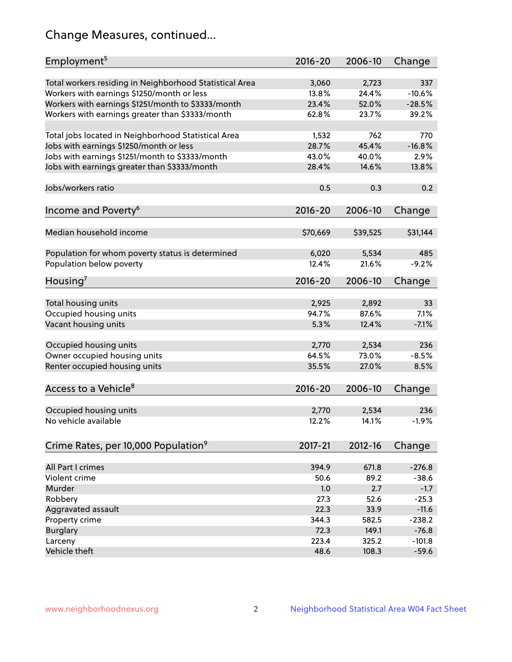## Change Measures, continued...

| Employment <sup>5</sup>                                 | $2016 - 20$ | 2006-10  | Change   |
|---------------------------------------------------------|-------------|----------|----------|
|                                                         |             |          |          |
| Total workers residing in Neighborhood Statistical Area | 3,060       | 2,723    | 337      |
| Workers with earnings \$1250/month or less              | 13.8%       | 24.4%    | $-10.6%$ |
| Workers with earnings \$1251/month to \$3333/month      | 23.4%       | 52.0%    | $-28.5%$ |
| Workers with earnings greater than \$3333/month         | 62.8%       | 23.7%    | 39.2%    |
| Total jobs located in Neighborhood Statistical Area     | 1,532       | 762      | 770      |
| Jobs with earnings \$1250/month or less                 | 28.7%       | 45.4%    | $-16.8%$ |
| Jobs with earnings \$1251/month to \$3333/month         | 43.0%       | 40.0%    | 2.9%     |
| Jobs with earnings greater than \$3333/month            | 28.4%       | 14.6%    | 13.8%    |
|                                                         |             |          |          |
| Jobs/workers ratio                                      | 0.5         | 0.3      | 0.2      |
|                                                         |             |          |          |
| Income and Poverty <sup>6</sup>                         | 2016-20     | 2006-10  | Change   |
| Median household income                                 | \$70,669    | \$39,525 | \$31,144 |
|                                                         |             |          |          |
| Population for whom poverty status is determined        | 6,020       | 5,534    | 485      |
| Population below poverty                                | 12.4%       | 21.6%    | $-9.2%$  |
|                                                         |             |          |          |
| Housing <sup>7</sup>                                    | 2016-20     | 2006-10  | Change   |
| Total housing units                                     | 2,925       | 2,892    | 33       |
|                                                         | 94.7%       | 87.6%    | 7.1%     |
| Occupied housing units                                  |             |          |          |
| Vacant housing units                                    | 5.3%        | 12.4%    | $-7.1%$  |
| Occupied housing units                                  | 2,770       | 2,534    | 236      |
| Owner occupied housing units                            | 64.5%       | 73.0%    | $-8.5%$  |
| Renter occupied housing units                           | 35.5%       | 27.0%    | 8.5%     |
|                                                         |             |          |          |
| Access to a Vehicle <sup>8</sup>                        | $2016 - 20$ | 2006-10  | Change   |
|                                                         |             |          |          |
| Occupied housing units                                  | 2,770       | 2,534    | 236      |
| No vehicle available                                    | 12.2%       | 14.1%    | $-1.9%$  |
|                                                         |             |          |          |
| Crime Rates, per 10,000 Population <sup>9</sup>         | 2017-21     | 2012-16  | Change   |
|                                                         |             |          |          |
| All Part I crimes                                       | 394.9       | 671.8    | $-276.8$ |
| Violent crime                                           | 50.6        | 89.2     | $-38.6$  |
| Murder                                                  | 1.0         | 2.7      | $-1.7$   |
| Robbery                                                 | 27.3        | 52.6     | $-25.3$  |
| Aggravated assault                                      | 22.3        | 33.9     | $-11.6$  |
| Property crime                                          | 344.3       | 582.5    | $-238.2$ |
| <b>Burglary</b>                                         | 72.3        | 149.1    | $-76.8$  |
| Larceny                                                 | 223.4       | 325.2    | $-101.8$ |
| Vehicle theft                                           | 48.6        | 108.3    | $-59.6$  |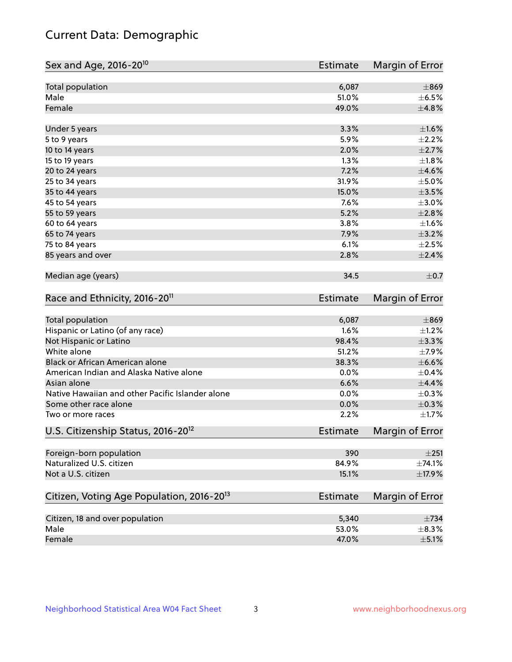## Current Data: Demographic

| Sex and Age, 2016-20 <sup>10</sup>                    | <b>Estimate</b> | Margin of Error |
|-------------------------------------------------------|-----------------|-----------------|
| Total population                                      | 6,087           | $\pm$ 869       |
| Male                                                  | 51.0%           | $\pm$ 6.5%      |
| Female                                                | 49.0%           | ±4.8%           |
| Under 5 years                                         | 3.3%            | $\pm1.6\%$      |
| 5 to 9 years                                          | 5.9%            | $\pm 2.2\%$     |
| 10 to 14 years                                        | 2.0%            | $\pm 2.7\%$     |
| 15 to 19 years                                        | 1.3%            | $\pm1.8\%$      |
| 20 to 24 years                                        | 7.2%            | $\pm 4.6\%$     |
| 25 to 34 years                                        | 31.9%           | ±5.0%           |
| 35 to 44 years                                        | 15.0%           | $\pm 3.5\%$     |
| 45 to 54 years                                        | 7.6%            | $\pm 3.0\%$     |
| 55 to 59 years                                        | 5.2%            | $\pm 2.8\%$     |
| 60 to 64 years                                        | 3.8%            | $\pm1.6\%$      |
| 65 to 74 years                                        | 7.9%            | $\pm$ 3.2%      |
| 75 to 84 years                                        | 6.1%            | $\pm 2.5\%$     |
| 85 years and over                                     | 2.8%            | $\pm 2.4\%$     |
| Median age (years)                                    | 34.5            | $\pm$ 0.7       |
| Race and Ethnicity, 2016-20 <sup>11</sup>             | <b>Estimate</b> | Margin of Error |
| <b>Total population</b>                               | 6,087           | $\pm$ 869       |
| Hispanic or Latino (of any race)                      | 1.6%            | $\pm$ 1.2%      |
| Not Hispanic or Latino                                | 98.4%           | ±3.3%           |
| White alone                                           | 51.2%           | $\pm$ 7.9%      |
| Black or African American alone                       | 38.3%           | $\pm$ 6.6%      |
| American Indian and Alaska Native alone               | 0.0%            | $\pm$ 0.4%      |
| Asian alone                                           | 6.6%            | $\pm$ 4.4%      |
| Native Hawaiian and other Pacific Islander alone      | 0.0%            | $\pm$ 0.3%      |
| Some other race alone                                 | 0.0%            | $\pm$ 0.3%      |
| Two or more races                                     | 2.2%            | $\pm1.7\%$      |
| U.S. Citizenship Status, 2016-20 <sup>12</sup>        | <b>Estimate</b> | Margin of Error |
| Foreign-born population                               | 390             | ±251            |
| Naturalized U.S. citizen                              | 84.9%           | ±74.1%          |
| Not a U.S. citizen                                    | 15.1%           | $\pm$ 17.9%     |
| Citizen, Voting Age Population, 2016-20 <sup>13</sup> | Estimate        | Margin of Error |
| Citizen, 18 and over population                       | 5,340           | $\pm 734$       |
| Male                                                  | 53.0%           | $\pm$ 8.3%      |
| Female                                                | 47.0%           | $\pm$ 5.1%      |
|                                                       |                 |                 |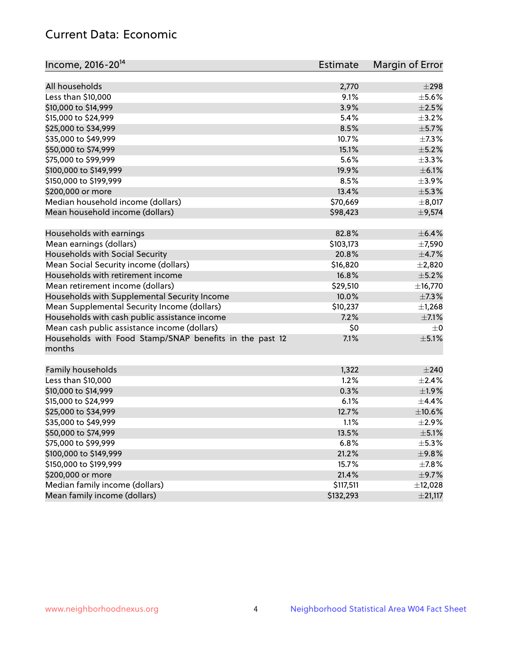## Current Data: Economic

| Income, 2016-20 <sup>14</sup>                           | Estimate  | Margin of Error |
|---------------------------------------------------------|-----------|-----------------|
|                                                         |           |                 |
| All households                                          | 2,770     | $\pm 298$       |
| Less than \$10,000                                      | 9.1%      | $\pm$ 5.6%      |
| \$10,000 to \$14,999                                    | 3.9%      | $\pm 2.5\%$     |
| \$15,000 to \$24,999                                    | 5.4%      | $\pm$ 3.2%      |
| \$25,000 to \$34,999                                    | 8.5%      | $\pm$ 5.7%      |
| \$35,000 to \$49,999                                    | 10.7%     | $\pm$ 7.3%      |
| \$50,000 to \$74,999                                    | 15.1%     | $\pm$ 5.2%      |
| \$75,000 to \$99,999                                    | 5.6%      | ±3.3%           |
| \$100,000 to \$149,999                                  | 19.9%     | $\pm$ 6.1%      |
| \$150,000 to \$199,999                                  | 8.5%      | $\pm$ 3.9%      |
| \$200,000 or more                                       | 13.4%     | $\pm$ 5.3%      |
| Median household income (dollars)                       | \$70,669  | $\pm$ 8,017     |
| Mean household income (dollars)                         | \$98,423  | ±9,574          |
| Households with earnings                                | 82.8%     | $\pm$ 6.4%      |
| Mean earnings (dollars)                                 | \$103,173 | $\pm$ 7,590     |
| Households with Social Security                         | 20.8%     | $\pm$ 4.7%      |
| Mean Social Security income (dollars)                   | \$16,820  | $\pm 2,820$     |
| Households with retirement income                       | 16.8%     | $\pm$ 5.2%      |
| Mean retirement income (dollars)                        | \$29,510  | ±16,770         |
| Households with Supplemental Security Income            | 10.0%     | $\pm$ 7.3%      |
| Mean Supplemental Security Income (dollars)             | \$10,237  | $\pm$ 1,268     |
| Households with cash public assistance income           | 7.2%      | $\pm$ 7.1%      |
| Mean cash public assistance income (dollars)            | \$0       | $\pm$ 0         |
| Households with Food Stamp/SNAP benefits in the past 12 | 7.1%      | $\pm$ 5.1%      |
| months                                                  |           |                 |
| Family households                                       | 1,322     | $\pm 240$       |
| Less than \$10,000                                      | 1.2%      | ±2.4%           |
| \$10,000 to \$14,999                                    | 0.3%      | $\pm$ 1.9%      |
| \$15,000 to \$24,999                                    | 6.1%      | ±4.4%           |
| \$25,000 to \$34,999                                    | 12.7%     | $\pm 10.6\%$    |
| \$35,000 to \$49,999                                    | 1.1%      | $\pm 2.9\%$     |
|                                                         |           |                 |
| \$50,000 to \$74,999                                    | 13.5%     | $\pm$ 5.1%      |
| \$75,000 to \$99,999                                    | 6.8%      | $\pm$ 5.3%      |
| \$100,000 to \$149,999                                  | 21.2%     | ±9.8%           |
| \$150,000 to \$199,999                                  | 15.7%     | $\pm$ 7.8%      |
| \$200,000 or more                                       | 21.4%     | $\pm$ 9.7%      |
| Median family income (dollars)                          | \$117,511 | ±12,028         |
| Mean family income (dollars)                            | \$132,293 | ±21,117         |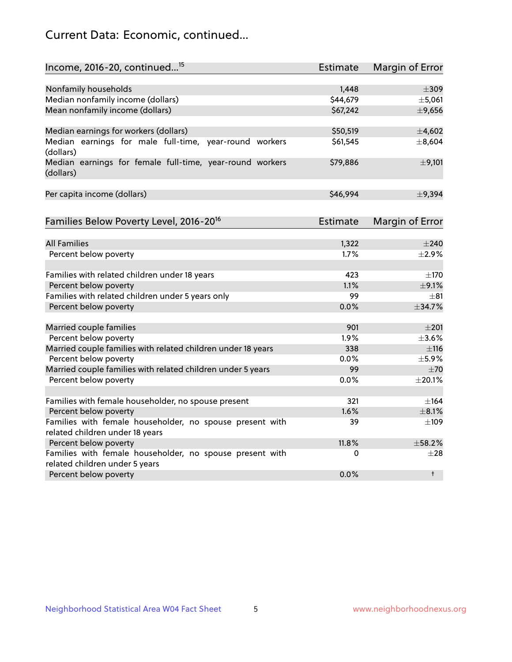## Current Data: Economic, continued...

| Income, 2016-20, continued <sup>15</sup>                              | <b>Estimate</b> | <b>Margin of Error</b> |
|-----------------------------------------------------------------------|-----------------|------------------------|
|                                                                       |                 |                        |
| Nonfamily households                                                  | 1,448           | $\pm$ 309              |
| Median nonfamily income (dollars)                                     | \$44,679        | ±5,061                 |
| Mean nonfamily income (dollars)                                       | \$67,242        | ±9,656                 |
| Median earnings for workers (dollars)                                 | \$50,519        | ±4,602                 |
| Median earnings for male full-time, year-round workers<br>(dollars)   | \$61,545        | ±8,604                 |
| Median earnings for female full-time, year-round workers<br>(dollars) | \$79,886        | $\pm$ 9,101            |
| Per capita income (dollars)                                           | \$46,994        | ±9,394                 |
| Families Below Poverty Level, 2016-20 <sup>16</sup>                   | <b>Estimate</b> | <b>Margin of Error</b> |
|                                                                       |                 |                        |
| <b>All Families</b>                                                   | 1,322           | $\pm 240$              |
| Percent below poverty                                                 | 1.7%            | $\pm 2.9\%$            |
| Families with related children under 18 years                         | 423             | $\pm 170$              |
| Percent below poverty                                                 | 1.1%            | $\pm$ 9.1%             |
| Families with related children under 5 years only                     | 99              | $\pm$ 81               |
| Percent below poverty                                                 | 0.0%            | ±34.7%                 |
| Married couple families                                               | 901             | $\pm 201$              |
| Percent below poverty                                                 | 1.9%            | $\pm 3.6\%$            |
| Married couple families with related children under 18 years          | 338             | ±116                   |
| Percent below poverty                                                 | $0.0\%$         | $\pm$ 5.9%             |
| Married couple families with related children under 5 years           | 99              | ±70                    |
| Percent below poverty                                                 | $0.0\%$         | ±20.1%                 |
| Families with female householder, no spouse present                   | 321             | $\pm$ 164              |
| Percent below poverty                                                 | 1.6%            | $\pm$ 8.1%             |
| Families with female householder, no spouse present with              | 39              | $\pm 109$              |
| related children under 18 years                                       |                 |                        |
| Percent below poverty                                                 | 11.8%           | ±58.2%                 |
| Families with female householder, no spouse present with              | 0               | $\pm 28$               |
| related children under 5 years                                        |                 |                        |
| Percent below poverty                                                 | 0.0%            | $^{\dagger}$           |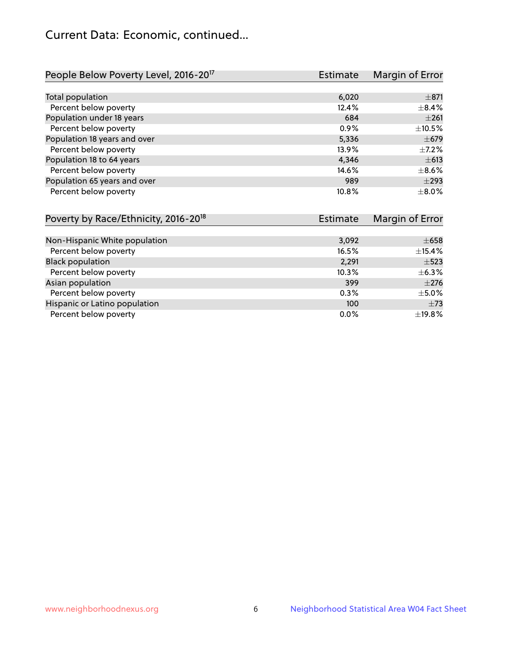## Current Data: Economic, continued...

| People Below Poverty Level, 2016-20 <sup>17</sup> | <b>Estimate</b> | Margin of Error |
|---------------------------------------------------|-----------------|-----------------|
|                                                   |                 |                 |
| Total population                                  | 6,020           | $\pm$ 871       |
| Percent below poverty                             | 12.4%           | $\pm$ 8.4%      |
| Population under 18 years                         | 684             | $\pm 261$       |
| Percent below poverty                             | 0.9%            | ±10.5%          |
| Population 18 years and over                      | 5,336           | $\pm$ 679       |
| Percent below poverty                             | 13.9%           | $+7.2%$         |
| Population 18 to 64 years                         | 4,346           | $\pm 613$       |
| Percent below poverty                             | 14.6%           | $\pm$ 8.6%      |
| Population 65 years and over                      | 989             | $\pm$ 293       |
| Percent below poverty                             | 10.8%           | $\pm$ 8.0%      |

| Poverty by Race/Ethnicity, 2016-20 <sup>18</sup> | Estimate | Margin of Error |
|--------------------------------------------------|----------|-----------------|
|                                                  |          |                 |
| Non-Hispanic White population                    | 3,092    | $\pm 658$       |
| Percent below poverty                            | 16.5%    | ±15.4%          |
| <b>Black population</b>                          | 2,291    | $\pm$ 523       |
| Percent below poverty                            | 10.3%    | $\pm$ 6.3%      |
| Asian population                                 | 399      | $\pm 276$       |
| Percent below poverty                            | 0.3%     | $\pm$ 5.0%      |
| Hispanic or Latino population                    | 100      | $\pm 73$        |
| Percent below poverty                            | $0.0\%$  | ±19.8%          |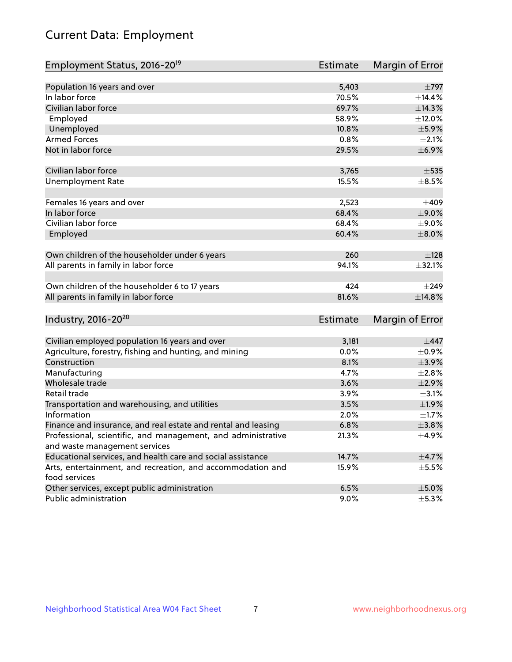# Current Data: Employment

| Employment Status, 2016-20 <sup>19</sup>                      | <b>Estimate</b> | Margin of Error |
|---------------------------------------------------------------|-----------------|-----------------|
|                                                               |                 |                 |
| Population 16 years and over                                  | 5,403           | $\pm 797$       |
| In labor force                                                | 70.5%           | ±14.4%          |
| Civilian labor force                                          | 69.7%           | ±14.3%          |
| Employed                                                      | 58.9%           | ±12.0%          |
| Unemployed                                                    | 10.8%           | $\pm$ 5.9%      |
| <b>Armed Forces</b>                                           | 0.8%            | $\pm 2.1\%$     |
| Not in labor force                                            | 29.5%           | ±6.9%           |
|                                                               |                 |                 |
| Civilian labor force                                          | 3,765           | $\pm$ 535       |
| <b>Unemployment Rate</b>                                      | 15.5%           | $\pm$ 8.5%      |
| Females 16 years and over                                     | 2,523           | ±409            |
| In labor force                                                | 68.4%           | $\pm$ 9.0%      |
| Civilian labor force                                          | 68.4%           | $\pm$ 9.0%      |
| Employed                                                      | 60.4%           | $\pm$ 8.0%      |
|                                                               |                 |                 |
| Own children of the householder under 6 years                 | 260             | ±128            |
| All parents in family in labor force                          | 94.1%           | ±32.1%          |
|                                                               |                 |                 |
| Own children of the householder 6 to 17 years                 | 424             | $\pm 249$       |
| All parents in family in labor force                          | 81.6%           | ±14.8%          |
|                                                               |                 |                 |
| Industry, 2016-20 <sup>20</sup>                               | Estimate        | Margin of Error |
|                                                               |                 |                 |
| Civilian employed population 16 years and over                | 3,181           | $\pm$ 447       |
| Agriculture, forestry, fishing and hunting, and mining        | 0.0%            | $\pm$ 0.9%      |
| Construction                                                  | 8.1%            | $\pm$ 3.9%      |
| Manufacturing                                                 | 4.7%            | ±2.8%           |
| Wholesale trade                                               | 3.6%            | $\pm 2.9\%$     |
| Retail trade                                                  | 3.9%            | $\pm$ 3.1%      |
| Transportation and warehousing, and utilities                 | 3.5%            | $\pm$ 1.9%      |
| Information                                                   | 2.0%            | $\pm1.7\%$      |
| Finance and insurance, and real estate and rental and leasing | 6.8%            | ±3.8%           |
| Professional, scientific, and management, and administrative  | 21.3%           | $\pm$ 4.9%      |
| and waste management services                                 |                 |                 |
| Educational services, and health care and social assistance   | 14.7%           | $\pm$ 4.7%      |
| Arts, entertainment, and recreation, and accommodation and    | 15.9%           | $\pm$ 5.5%      |
| food services                                                 |                 |                 |
| Other services, except public administration                  | 6.5%            | $\pm$ 5.0%      |
| Public administration                                         | $9.0\%$         | $\pm$ 5.3%      |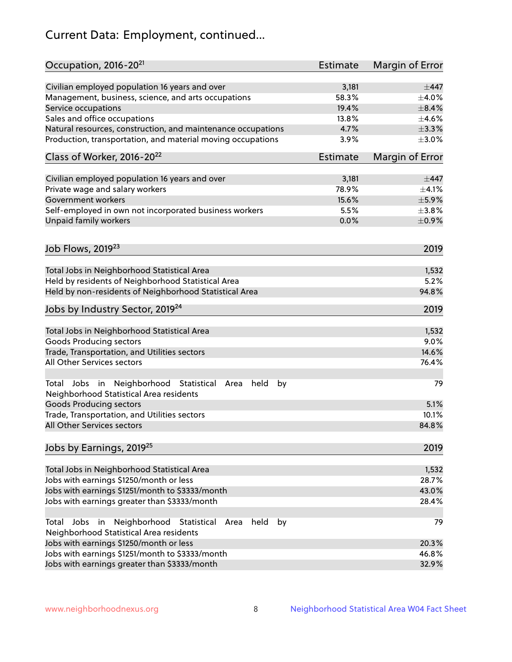# Current Data: Employment, continued...

| Civilian employed population 16 years and over<br>$\pm$ 447<br>3,181<br>58.3%<br>Management, business, science, and arts occupations<br>$\pm$ 4.0%<br>19.4%<br>$\pm$ 8.4%<br>Sales and office occupations<br>13.8%<br>$\pm 4.6\%$<br>4.7%<br>$\pm$ 3.3%<br>Natural resources, construction, and maintenance occupations<br>3.9%<br>$\pm 3.0\%$<br>Estimate<br>Margin of Error<br>Civilian employed population 16 years and over<br>3,181<br>$\pm$ 447<br>$\pm 4.1\%$<br>Private wage and salary workers<br>78.9%<br>Government workers<br>$\pm$ 5.9%<br>15.6%<br>Self-employed in own not incorporated business workers<br>5.5%<br>$\pm$ 3.8%<br>0.0%<br>$\pm$ 0.9%<br>Job Flows, 2019 <sup>23</sup><br>2019<br>Total Jobs in Neighborhood Statistical Area<br>1,532<br>Held by residents of Neighborhood Statistical Area<br>5.2%<br>94.8%<br>2019<br>Total Jobs in Neighborhood Statistical Area<br>1,532<br><b>Goods Producing sectors</b><br>9.0%<br>Trade, Transportation, and Utilities sectors<br>14.6%<br>76.4%<br>79<br>held<br>by<br>Area<br>5.1%<br>10.1%<br>All Other Services sectors<br>84.8%<br>2019<br>Total Jobs in Neighborhood Statistical Area<br>1,532<br>28.7%<br>43.0%<br>28.4% | Occupation, 2016-20 <sup>21</sup>                                                                                | <b>Estimate</b> | Margin of Error |
|--------------------------------------------------------------------------------------------------------------------------------------------------------------------------------------------------------------------------------------------------------------------------------------------------------------------------------------------------------------------------------------------------------------------------------------------------------------------------------------------------------------------------------------------------------------------------------------------------------------------------------------------------------------------------------------------------------------------------------------------------------------------------------------------------------------------------------------------------------------------------------------------------------------------------------------------------------------------------------------------------------------------------------------------------------------------------------------------------------------------------------------------------------------------------------------------------------|------------------------------------------------------------------------------------------------------------------|-----------------|-----------------|
|                                                                                                                                                                                                                                                                                                                                                                                                                                                                                                                                                                                                                                                                                                                                                                                                                                                                                                                                                                                                                                                                                                                                                                                                        |                                                                                                                  |                 |                 |
|                                                                                                                                                                                                                                                                                                                                                                                                                                                                                                                                                                                                                                                                                                                                                                                                                                                                                                                                                                                                                                                                                                                                                                                                        |                                                                                                                  |                 |                 |
|                                                                                                                                                                                                                                                                                                                                                                                                                                                                                                                                                                                                                                                                                                                                                                                                                                                                                                                                                                                                                                                                                                                                                                                                        | Service occupations                                                                                              |                 |                 |
|                                                                                                                                                                                                                                                                                                                                                                                                                                                                                                                                                                                                                                                                                                                                                                                                                                                                                                                                                                                                                                                                                                                                                                                                        |                                                                                                                  |                 |                 |
|                                                                                                                                                                                                                                                                                                                                                                                                                                                                                                                                                                                                                                                                                                                                                                                                                                                                                                                                                                                                                                                                                                                                                                                                        |                                                                                                                  |                 |                 |
|                                                                                                                                                                                                                                                                                                                                                                                                                                                                                                                                                                                                                                                                                                                                                                                                                                                                                                                                                                                                                                                                                                                                                                                                        | Production, transportation, and material moving occupations                                                      |                 |                 |
|                                                                                                                                                                                                                                                                                                                                                                                                                                                                                                                                                                                                                                                                                                                                                                                                                                                                                                                                                                                                                                                                                                                                                                                                        | Class of Worker, 2016-20 <sup>22</sup>                                                                           |                 |                 |
|                                                                                                                                                                                                                                                                                                                                                                                                                                                                                                                                                                                                                                                                                                                                                                                                                                                                                                                                                                                                                                                                                                                                                                                                        |                                                                                                                  |                 |                 |
|                                                                                                                                                                                                                                                                                                                                                                                                                                                                                                                                                                                                                                                                                                                                                                                                                                                                                                                                                                                                                                                                                                                                                                                                        |                                                                                                                  |                 |                 |
|                                                                                                                                                                                                                                                                                                                                                                                                                                                                                                                                                                                                                                                                                                                                                                                                                                                                                                                                                                                                                                                                                                                                                                                                        |                                                                                                                  |                 |                 |
|                                                                                                                                                                                                                                                                                                                                                                                                                                                                                                                                                                                                                                                                                                                                                                                                                                                                                                                                                                                                                                                                                                                                                                                                        |                                                                                                                  |                 |                 |
|                                                                                                                                                                                                                                                                                                                                                                                                                                                                                                                                                                                                                                                                                                                                                                                                                                                                                                                                                                                                                                                                                                                                                                                                        | Unpaid family workers                                                                                            |                 |                 |
|                                                                                                                                                                                                                                                                                                                                                                                                                                                                                                                                                                                                                                                                                                                                                                                                                                                                                                                                                                                                                                                                                                                                                                                                        |                                                                                                                  |                 |                 |
|                                                                                                                                                                                                                                                                                                                                                                                                                                                                                                                                                                                                                                                                                                                                                                                                                                                                                                                                                                                                                                                                                                                                                                                                        |                                                                                                                  |                 |                 |
|                                                                                                                                                                                                                                                                                                                                                                                                                                                                                                                                                                                                                                                                                                                                                                                                                                                                                                                                                                                                                                                                                                                                                                                                        |                                                                                                                  |                 |                 |
|                                                                                                                                                                                                                                                                                                                                                                                                                                                                                                                                                                                                                                                                                                                                                                                                                                                                                                                                                                                                                                                                                                                                                                                                        |                                                                                                                  |                 |                 |
|                                                                                                                                                                                                                                                                                                                                                                                                                                                                                                                                                                                                                                                                                                                                                                                                                                                                                                                                                                                                                                                                                                                                                                                                        | Held by non-residents of Neighborhood Statistical Area                                                           |                 |                 |
|                                                                                                                                                                                                                                                                                                                                                                                                                                                                                                                                                                                                                                                                                                                                                                                                                                                                                                                                                                                                                                                                                                                                                                                                        | Jobs by Industry Sector, 2019 <sup>24</sup>                                                                      |                 |                 |
|                                                                                                                                                                                                                                                                                                                                                                                                                                                                                                                                                                                                                                                                                                                                                                                                                                                                                                                                                                                                                                                                                                                                                                                                        |                                                                                                                  |                 |                 |
|                                                                                                                                                                                                                                                                                                                                                                                                                                                                                                                                                                                                                                                                                                                                                                                                                                                                                                                                                                                                                                                                                                                                                                                                        |                                                                                                                  |                 |                 |
|                                                                                                                                                                                                                                                                                                                                                                                                                                                                                                                                                                                                                                                                                                                                                                                                                                                                                                                                                                                                                                                                                                                                                                                                        |                                                                                                                  |                 |                 |
|                                                                                                                                                                                                                                                                                                                                                                                                                                                                                                                                                                                                                                                                                                                                                                                                                                                                                                                                                                                                                                                                                                                                                                                                        | All Other Services sectors                                                                                       |                 |                 |
|                                                                                                                                                                                                                                                                                                                                                                                                                                                                                                                                                                                                                                                                                                                                                                                                                                                                                                                                                                                                                                                                                                                                                                                                        | Total Jobs in Neighborhood Statistical<br>Neighborhood Statistical Area residents                                |                 |                 |
|                                                                                                                                                                                                                                                                                                                                                                                                                                                                                                                                                                                                                                                                                                                                                                                                                                                                                                                                                                                                                                                                                                                                                                                                        | <b>Goods Producing sectors</b>                                                                                   |                 |                 |
|                                                                                                                                                                                                                                                                                                                                                                                                                                                                                                                                                                                                                                                                                                                                                                                                                                                                                                                                                                                                                                                                                                                                                                                                        | Trade, Transportation, and Utilities sectors                                                                     |                 |                 |
|                                                                                                                                                                                                                                                                                                                                                                                                                                                                                                                                                                                                                                                                                                                                                                                                                                                                                                                                                                                                                                                                                                                                                                                                        |                                                                                                                  |                 |                 |
|                                                                                                                                                                                                                                                                                                                                                                                                                                                                                                                                                                                                                                                                                                                                                                                                                                                                                                                                                                                                                                                                                                                                                                                                        | Jobs by Earnings, 2019 <sup>25</sup>                                                                             |                 |                 |
|                                                                                                                                                                                                                                                                                                                                                                                                                                                                                                                                                                                                                                                                                                                                                                                                                                                                                                                                                                                                                                                                                                                                                                                                        |                                                                                                                  |                 |                 |
|                                                                                                                                                                                                                                                                                                                                                                                                                                                                                                                                                                                                                                                                                                                                                                                                                                                                                                                                                                                                                                                                                                                                                                                                        | Jobs with earnings \$1250/month or less                                                                          |                 |                 |
|                                                                                                                                                                                                                                                                                                                                                                                                                                                                                                                                                                                                                                                                                                                                                                                                                                                                                                                                                                                                                                                                                                                                                                                                        | Jobs with earnings \$1251/month to \$3333/month                                                                  |                 |                 |
|                                                                                                                                                                                                                                                                                                                                                                                                                                                                                                                                                                                                                                                                                                                                                                                                                                                                                                                                                                                                                                                                                                                                                                                                        | Jobs with earnings greater than \$3333/month                                                                     |                 |                 |
|                                                                                                                                                                                                                                                                                                                                                                                                                                                                                                                                                                                                                                                                                                                                                                                                                                                                                                                                                                                                                                                                                                                                                                                                        | Neighborhood Statistical<br>Jobs<br>in<br>held<br>by<br>Total<br>Area<br>Neighborhood Statistical Area residents |                 | 79              |
| 20.3%                                                                                                                                                                                                                                                                                                                                                                                                                                                                                                                                                                                                                                                                                                                                                                                                                                                                                                                                                                                                                                                                                                                                                                                                  | Jobs with earnings \$1250/month or less                                                                          |                 |                 |
| 46.8%                                                                                                                                                                                                                                                                                                                                                                                                                                                                                                                                                                                                                                                                                                                                                                                                                                                                                                                                                                                                                                                                                                                                                                                                  | Jobs with earnings \$1251/month to \$3333/month                                                                  |                 |                 |
| 32.9%                                                                                                                                                                                                                                                                                                                                                                                                                                                                                                                                                                                                                                                                                                                                                                                                                                                                                                                                                                                                                                                                                                                                                                                                  | Jobs with earnings greater than \$3333/month                                                                     |                 |                 |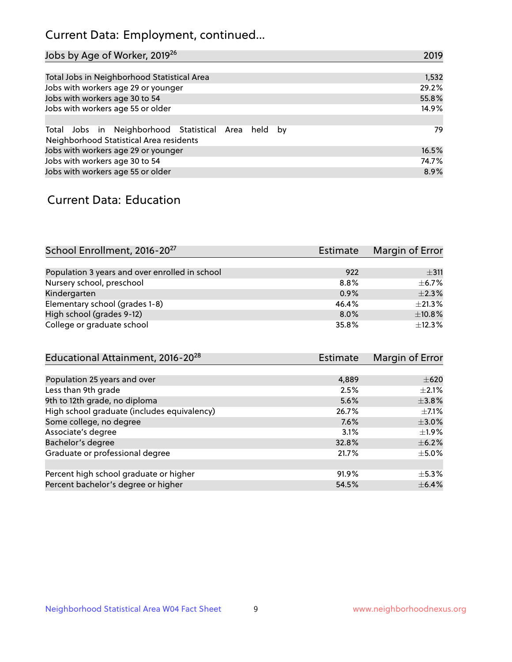## Current Data: Employment, continued...

| Jobs by Age of Worker, 2019 <sup>26</sup>                                                      | 2019  |
|------------------------------------------------------------------------------------------------|-------|
|                                                                                                |       |
| Total Jobs in Neighborhood Statistical Area                                                    | 1,532 |
| Jobs with workers age 29 or younger                                                            | 29.2% |
| Jobs with workers age 30 to 54                                                                 | 55.8% |
| Jobs with workers age 55 or older                                                              | 14.9% |
|                                                                                                |       |
| Total Jobs in Neighborhood Statistical Area held by<br>Neighborhood Statistical Area residents | 79    |
| Jobs with workers age 29 or younger                                                            | 16.5% |
| Jobs with workers age 30 to 54                                                                 | 74.7% |
| Jobs with workers age 55 or older                                                              | 8.9%  |

### Current Data: Education

| School Enrollment, 2016-20 <sup>27</sup>       | <b>Estimate</b> | Margin of Error |
|------------------------------------------------|-----------------|-----------------|
|                                                |                 |                 |
| Population 3 years and over enrolled in school | 922             | ±311            |
| Nursery school, preschool                      | 8.8%            | $\pm$ 6.7%      |
| Kindergarten                                   | 0.9%            | $\pm 2.3\%$     |
| Elementary school (grades 1-8)                 | 46.4%           | ±21.3%          |
| High school (grades 9-12)                      | $8.0\%$         | ±10.8%          |
| College or graduate school                     | 35.8%           | $+12.3%$        |

| Educational Attainment, 2016-20 <sup>28</sup> | <b>Estimate</b> | Margin of Error |
|-----------------------------------------------|-----------------|-----------------|
|                                               |                 |                 |
| Population 25 years and over                  | 4,889           | $\pm 620$       |
| Less than 9th grade                           | 2.5%            | $+2.1%$         |
| 9th to 12th grade, no diploma                 | 5.6%            | $\pm$ 3.8%      |
| High school graduate (includes equivalency)   | 26.7%           | $\pm$ 7.1%      |
| Some college, no degree                       | 7.6%            | $\pm 3.0\%$     |
| Associate's degree                            | 3.1%            | $\pm 1.9\%$     |
| Bachelor's degree                             | 32.8%           | $\pm$ 6.2%      |
| Graduate or professional degree               | 21.7%           | $\pm$ 5.0%      |
|                                               |                 |                 |
| Percent high school graduate or higher        | 91.9%           | $\pm$ 5.3%      |
| Percent bachelor's degree or higher           | 54.5%           | $\pm$ 6.4%      |
|                                               |                 |                 |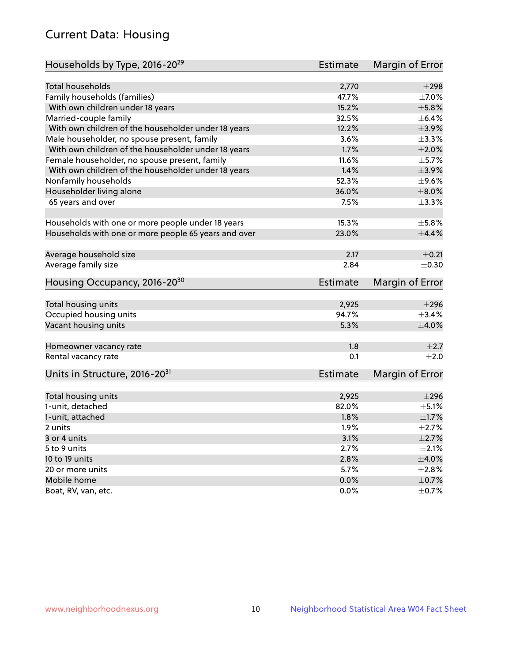## Current Data: Housing

| Households by Type, 2016-20 <sup>29</sup>            | <b>Estimate</b> | Margin of Error |
|------------------------------------------------------|-----------------|-----------------|
|                                                      |                 |                 |
| <b>Total households</b>                              | 2,770           | $\pm 298$       |
| Family households (families)                         | 47.7%           | ±7.0%           |
| With own children under 18 years                     | 15.2%           | $\pm$ 5.8%      |
| Married-couple family                                | 32.5%           | $\pm$ 6.4%      |
| With own children of the householder under 18 years  | 12.2%           | $\pm$ 3.9%      |
| Male householder, no spouse present, family          | 3.6%            | ±3.3%           |
| With own children of the householder under 18 years  | 1.7%            | $\pm 2.0\%$     |
| Female householder, no spouse present, family        | 11.6%           | $\pm$ 5.7%      |
| With own children of the householder under 18 years  | 1.4%            | $\pm$ 3.9%      |
| Nonfamily households                                 | 52.3%           | $\pm$ 9.6%      |
| Householder living alone                             | 36.0%           | $\pm 8.0\%$     |
| 65 years and over                                    | 7.5%            | $\pm$ 3.3%      |
|                                                      |                 |                 |
| Households with one or more people under 18 years    | 15.3%           | $\pm$ 5.8%      |
| Households with one or more people 65 years and over | 23.0%           | $\pm$ 4.4%      |
|                                                      |                 |                 |
| Average household size                               | 2.17            | $\pm$ 0.21      |
| Average family size                                  | 2.84            | $\pm$ 0.30      |
| Housing Occupancy, 2016-20 <sup>30</sup>             | <b>Estimate</b> | Margin of Error |
|                                                      |                 |                 |
| Total housing units                                  | 2,925           | $\pm 296$       |
| Occupied housing units                               | 94.7%           | ±3.4%           |
| Vacant housing units                                 | 5.3%            | $\pm 4.0\%$     |
|                                                      |                 |                 |
| Homeowner vacancy rate                               | 1.8             | $\pm 2.7$       |
| Rental vacancy rate                                  | 0.1             | $\pm 2.0$       |
|                                                      |                 |                 |
| Units in Structure, 2016-20 <sup>31</sup>            | <b>Estimate</b> | Margin of Error |
| Total housing units                                  | 2,925           | $\pm 296$       |
| 1-unit, detached                                     | 82.0%           | $\pm$ 5.1%      |
| 1-unit, attached                                     | 1.8%            | $\pm1.7\%$      |
| 2 units                                              | 1.9%            | $\pm 2.7\%$     |
| 3 or 4 units                                         | 3.1%            | $\pm 2.7\%$     |
| 5 to 9 units                                         | 2.7%            | $\pm 2.1\%$     |
|                                                      | 2.8%            | $\pm 4.0\%$     |
| 10 to 19 units                                       | 5.7%            | $\pm 2.8\%$     |
| 20 or more units                                     |                 |                 |
| Mobile home                                          | 0.0%            | $\pm$ 0.7%      |
| Boat, RV, van, etc.                                  | 0.0%            | $\pm$ 0.7%      |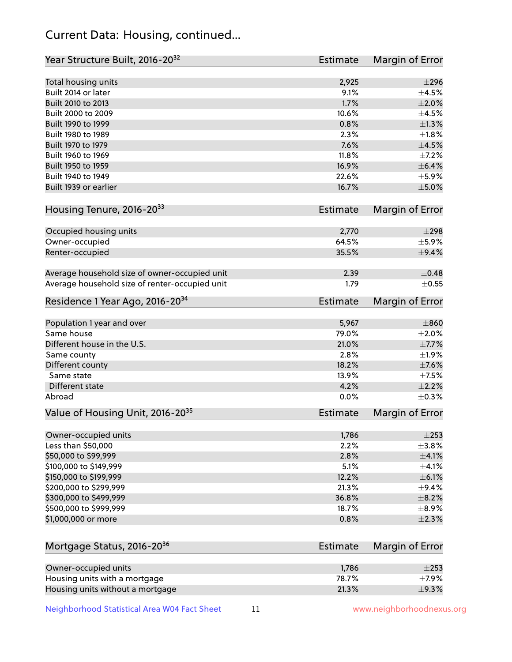## Current Data: Housing, continued...

| Year Structure Built, 2016-20 <sup>32</sup>    | <b>Estimate</b> | Margin of Error |
|------------------------------------------------|-----------------|-----------------|
| Total housing units                            | 2,925           | $\pm 296$       |
| Built 2014 or later                            | 9.1%            | $\pm 4.5\%$     |
| Built 2010 to 2013                             | 1.7%            | $\pm 2.0\%$     |
| Built 2000 to 2009                             | 10.6%           | $\pm$ 4.5%      |
| Built 1990 to 1999                             | 0.8%            | $\pm 1.3\%$     |
| Built 1980 to 1989                             | 2.3%            | $\pm1.8\%$      |
| Built 1970 to 1979                             | 7.6%            | $\pm 4.5\%$     |
| Built 1960 to 1969                             | 11.8%           | $\pm$ 7.2%      |
| Built 1950 to 1959                             | 16.9%           | $\pm$ 6.4%      |
| Built 1940 to 1949                             | 22.6%           | $\pm$ 5.9%      |
| Built 1939 or earlier                          | 16.7%           | $\pm$ 5.0%      |
| Housing Tenure, 2016-2033                      | <b>Estimate</b> | Margin of Error |
|                                                |                 |                 |
| Occupied housing units                         | 2,770           | $\pm 298$       |
| Owner-occupied                                 | 64.5%<br>35.5%  | $\pm$ 5.9%      |
| Renter-occupied                                |                 | $\pm$ 9.4%      |
| Average household size of owner-occupied unit  | 2.39            | $\pm$ 0.48      |
| Average household size of renter-occupied unit | 1.79            | $\pm$ 0.55      |
| Residence 1 Year Ago, 2016-20 <sup>34</sup>    | <b>Estimate</b> | Margin of Error |
| Population 1 year and over                     | 5,967           | $\pm 860$       |
| Same house                                     | 79.0%           | $\pm 2.0\%$     |
| Different house in the U.S.                    | 21.0%           | $\pm$ 7.7%      |
| Same county                                    | 2.8%            | ±1.9%           |
| Different county                               | 18.2%           | $\pm$ 7.6%      |
| Same state                                     | 13.9%           | $\pm$ 7.5%      |
| Different state                                | 4.2%            | $\pm 2.2\%$     |
| Abroad                                         | 0.0%            | $\pm$ 0.3%      |
| Value of Housing Unit, 2016-20 <sup>35</sup>   | <b>Estimate</b> | Margin of Error |
| Owner-occupied units                           | 1,786           | $\pm 253$       |
| Less than \$50,000                             | 2.2%            | $\pm$ 3.8%      |
| \$50,000 to \$99,999                           | 2.8%            | $\pm 4.1\%$     |
| \$100,000 to \$149,999                         | 5.1%            | $\pm$ 4.1%      |
| \$150,000 to \$199,999                         | 12.2%           | $\pm$ 6.1%      |
| \$200,000 to \$299,999                         | 21.3%           | $\pm$ 9.4%      |
| \$300,000 to \$499,999                         | 36.8%           | $\pm$ 8.2%      |
| \$500,000 to \$999,999                         | 18.7%           | $\pm$ 8.9%      |
| \$1,000,000 or more                            | 0.8%            | $\pm 2.3\%$     |
|                                                |                 |                 |
| Mortgage Status, 2016-20 <sup>36</sup>         | <b>Estimate</b> | Margin of Error |
| Owner-occupied units                           | 1,786           | $\pm 253$       |
| Housing units with a mortgage                  | 78.7%           | $\pm$ 7.9%      |
| Housing units without a mortgage               | 21.3%           | ±9.3%           |

Neighborhood Statistical Area W04 Fact Sheet 11 11 www.neighborhoodnexus.org

Housing units without a mortgage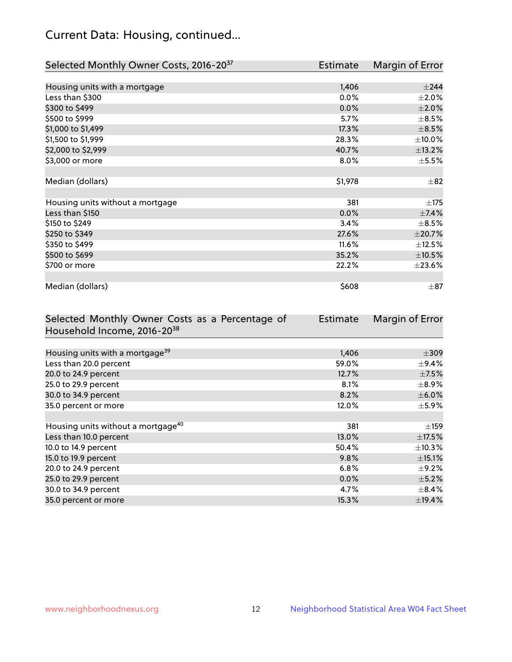## Current Data: Housing, continued...

| Selected Monthly Owner Costs, 2016-20 <sup>37</sup> | Estimate | Margin of Error |
|-----------------------------------------------------|----------|-----------------|
|                                                     |          |                 |
| Housing units with a mortgage                       | 1,406    | $\pm$ 244       |
| Less than \$300                                     | 0.0%     | $\pm 2.0\%$     |
| \$300 to \$499                                      | 0.0%     | $\pm 2.0\%$     |
| \$500 to \$999                                      | 5.7%     | $\pm$ 8.5%      |
| \$1,000 to \$1,499                                  | 17.3%    | $\pm$ 8.5%      |
| \$1,500 to \$1,999                                  | 28.3%    | $\pm$ 10.0%     |
| \$2,000 to \$2,999                                  | 40.7%    | ±13.2%          |
| \$3,000 or more                                     | $8.0\%$  | $\pm$ 5.5%      |
|                                                     |          |                 |
| Median (dollars)                                    | \$1,978  | $\pm$ 82        |
|                                                     |          |                 |
| Housing units without a mortgage                    | 381      | ±175            |
| Less than \$150                                     | 0.0%     | $\pm$ 7.4%      |
| \$150 to \$249                                      | 3.4%     | $\pm$ 8.5%      |
| \$250 to \$349                                      | 27.6%    | ±20.7%          |
| \$350 to \$499                                      | 11.6%    | $\pm$ 12.5%     |
| \$500 to \$699                                      | 35.2%    | $\pm 10.5\%$    |
| \$700 or more                                       | 22.2%    | $\pm 23.6\%$    |
|                                                     |          |                 |
| Median (dollars)                                    | \$608    | $\pm$ 87        |

| Selected Monthly Owner Costs as a Percentage of | <b>Estimate</b> | Margin of Error |
|-------------------------------------------------|-----------------|-----------------|
| Household Income, 2016-20 <sup>38</sup>         |                 |                 |
|                                                 |                 |                 |
| Housing units with a mortgage <sup>39</sup>     | 1,406           | $\pm$ 309       |
| Less than 20.0 percent                          | 59.0%           | $\pm$ 9.4%      |
| 20.0 to 24.9 percent                            | 12.7%           | $\pm$ 7.5%      |
| 25.0 to 29.9 percent                            | 8.1%            | $\pm$ 8.9%      |
| 30.0 to 34.9 percent                            | 8.2%            | $\pm$ 6.0%      |
| 35.0 percent or more                            | 12.0%           | $\pm$ 5.9%      |
|                                                 |                 |                 |
| Housing units without a mortgage <sup>40</sup>  | 381             | $\pm$ 159       |
| Less than 10.0 percent                          | 13.0%           | $\pm$ 17.5%     |
| 10.0 to 14.9 percent                            | 50.4%           | $\pm$ 10.3%     |
| 15.0 to 19.9 percent                            | 9.8%            | $\pm$ 15.1%     |
| 20.0 to 24.9 percent                            | 6.8%            | $\pm$ 9.2%      |
| 25.0 to 29.9 percent                            | $0.0\%$         | $\pm$ 5.2%      |
| 30.0 to 34.9 percent                            | 4.7%            | $\pm$ 8.4%      |
| 35.0 percent or more                            | 15.3%           | ±19.4%          |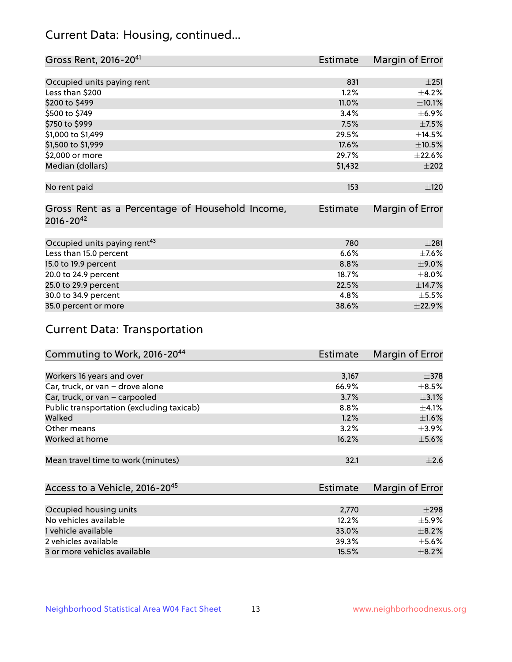## Current Data: Housing, continued...

| Gross Rent, 2016-20 <sup>41</sup>               | <b>Estimate</b> | Margin of Error |
|-------------------------------------------------|-----------------|-----------------|
|                                                 |                 |                 |
| Occupied units paying rent                      | 831             | $\pm 251$       |
| Less than \$200                                 | 1.2%            | $\pm$ 4.2%      |
| \$200 to \$499                                  | 11.0%           | $\pm 10.1\%$    |
| \$500 to \$749                                  | 3.4%            | $\pm$ 6.9%      |
| \$750 to \$999                                  | 7.5%            | $\pm$ 7.5%      |
| \$1,000 to \$1,499                              | 29.5%           | ±14.5%          |
| \$1,500 to \$1,999                              | 17.6%           | $\pm 10.5\%$    |
| \$2,000 or more                                 | 29.7%           | $\pm 22.6\%$    |
| Median (dollars)                                | \$1,432         | $\pm 202$       |
|                                                 |                 |                 |
| No rent paid                                    | 153             | ±120            |
|                                                 |                 |                 |
| Gross Rent as a Percentage of Household Income, | <b>Estimate</b> | Margin of Error |
| $2016 - 20^{42}$                                |                 |                 |
|                                                 |                 |                 |
| Occupied units paying rent <sup>43</sup>        | 780             | $\pm 281$       |
| Less than 15.0 percent                          | 6.6%            | $\pm$ 7.6%      |
| 15.0 to 19.9 percent                            | 8.8%            | $\pm$ 9.0%      |
| 20.0 to 24.9 percent                            | 18.7%           | $\pm 8.0\%$     |
| 25.0 to 29.9 percent                            | 22.5%           | ±14.7%          |
| 30.0 to 34.9 percent                            | 4.8%            | $\pm$ 5.5%      |
| 35.0 percent or more                            | 38.6%           | ±22.9%          |

## Current Data: Transportation

| Commuting to Work, 2016-20 <sup>44</sup>  | Estimate | Margin of Error |
|-------------------------------------------|----------|-----------------|
|                                           |          |                 |
| Workers 16 years and over                 | 3,167    | $\pm$ 378       |
| Car, truck, or van - drove alone          | 66.9%    | $\pm$ 8.5%      |
| Car, truck, or van - carpooled            | 3.7%     | $\pm$ 3.1%      |
| Public transportation (excluding taxicab) | $8.8\%$  | $\pm 4.1\%$     |
| Walked                                    | 1.2%     | ±1.6%           |
| Other means                               | 3.2%     | $\pm$ 3.9%      |
| Worked at home                            | 16.2%    | $\pm$ 5.6%      |
|                                           |          |                 |
| Mean travel time to work (minutes)        | 32.1     | $\pm 2.6$       |

| Access to a Vehicle, 2016-20 <sup>45</sup> | Estimate | Margin of Error |
|--------------------------------------------|----------|-----------------|
|                                            |          |                 |
| Occupied housing units                     | 2,770    | $\pm 298$       |
| No vehicles available                      | 12.2%    | $+5.9%$         |
| 1 vehicle available                        | 33.0%    | $\pm$ 8.2%      |
| 2 vehicles available                       | 39.3%    | $\pm$ 5.6%      |
| 3 or more vehicles available               | 15.5%    | $+8.2%$         |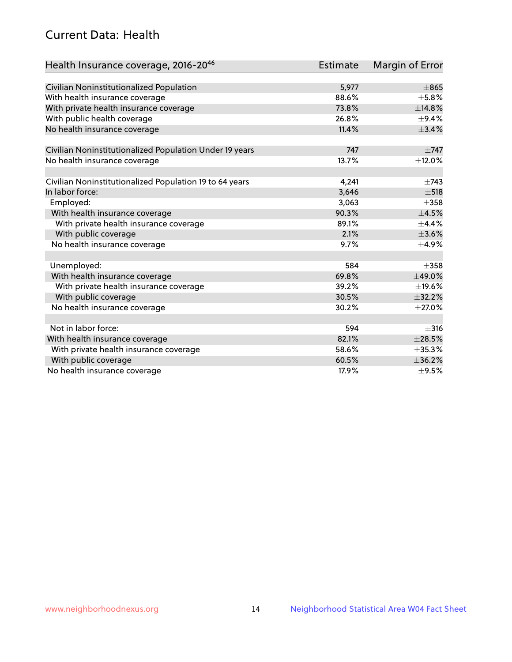## Current Data: Health

| Health Insurance coverage, 2016-2046                    | <b>Estimate</b> | <b>Margin of Error</b> |
|---------------------------------------------------------|-----------------|------------------------|
|                                                         |                 |                        |
| Civilian Noninstitutionalized Population                | 5,977           | $\pm865$               |
| With health insurance coverage                          | 88.6%           | $\pm$ 5.8%             |
| With private health insurance coverage                  | 73.8%           | ±14.8%                 |
| With public health coverage                             | 26.8%           | $\pm$ 9.4%             |
| No health insurance coverage                            | 11.4%           | ±3.4%                  |
| Civilian Noninstitutionalized Population Under 19 years | 747             | $\pm 747$              |
| No health insurance coverage                            | 13.7%           | ±12.0%                 |
|                                                         |                 |                        |
| Civilian Noninstitutionalized Population 19 to 64 years | 4,241           | $\pm 743$              |
| In labor force:                                         | 3,646           | $\pm$ 518              |
| Employed:                                               | 3,063           | $\pm 358$              |
| With health insurance coverage                          | 90.3%           | $\pm 4.5\%$            |
| With private health insurance coverage                  | 89.1%           | $\pm$ 4.4%             |
| With public coverage                                    | 2.1%            | $\pm 3.6\%$            |
| No health insurance coverage                            | 9.7%            | $\pm$ 4.9%             |
|                                                         |                 |                        |
| Unemployed:                                             | 584             | $\pm 358$              |
| With health insurance coverage                          | 69.8%           | ±49.0%                 |
| With private health insurance coverage                  | 39.2%           | ±19.6%                 |
| With public coverage                                    | 30.5%           | ±32.2%                 |
| No health insurance coverage                            | 30.2%           | $\pm 27.0\%$           |
|                                                         |                 |                        |
| Not in labor force:                                     | 594             | $\pm$ 316              |
| With health insurance coverage                          | 82.1%           | $\pm 28.5\%$           |
| With private health insurance coverage                  | 58.6%           | ±35.3%                 |
| With public coverage                                    | 60.5%           | ±36.2%                 |
| No health insurance coverage                            | 17.9%           | $\pm$ 9.5%             |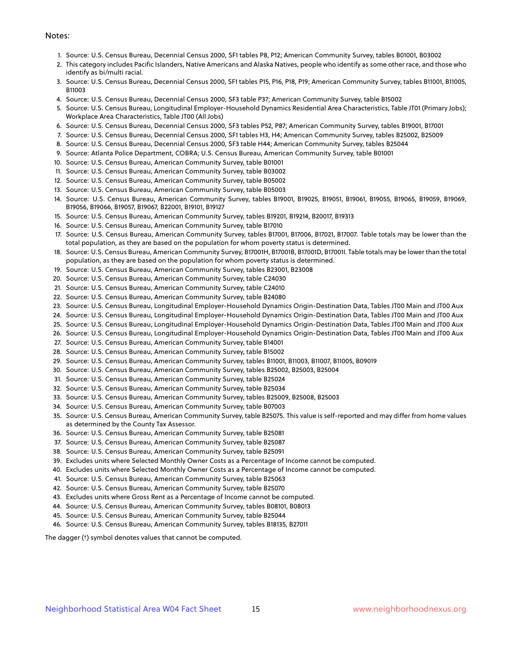#### Notes:

- 1. Source: U.S. Census Bureau, Decennial Census 2000, SF1 tables P8, P12; American Community Survey, tables B01001, B03002
- 2. This category includes Pacific Islanders, Native Americans and Alaska Natives, people who identify as some other race, and those who identify as bi/multi racial.
- 3. Source: U.S. Census Bureau, Decennial Census 2000, SF1 tables P15, P16, P18, P19; American Community Survey, tables B11001, B11005, B11003
- 4. Source: U.S. Census Bureau, Decennial Census 2000, SF3 table P37; American Community Survey, table B15002
- 5. Source: U.S. Census Bureau, Longitudinal Employer-Household Dynamics Residential Area Characteristics, Table JT01 (Primary Jobs); Workplace Area Characteristics, Table JT00 (All Jobs)
- 6. Source: U.S. Census Bureau, Decennial Census 2000, SF3 tables P52, P87; American Community Survey, tables B19001, B17001
- 7. Source: U.S. Census Bureau, Decennial Census 2000, SF1 tables H3, H4; American Community Survey, tables B25002, B25009
- 8. Source: U.S. Census Bureau, Decennial Census 2000, SF3 table H44; American Community Survey, tables B25044
- 9. Source: Atlanta Police Department, COBRA; U.S. Census Bureau, American Community Survey, table B01001
- 10. Source: U.S. Census Bureau, American Community Survey, table B01001
- 11. Source: U.S. Census Bureau, American Community Survey, table B03002
- 12. Source: U.S. Census Bureau, American Community Survey, table B05002
- 13. Source: U.S. Census Bureau, American Community Survey, table B05003
- 14. Source: U.S. Census Bureau, American Community Survey, tables B19001, B19025, B19051, B19061, B19055, B19065, B19059, B19069, B19056, B19066, B19057, B19067, B22001, B19101, B19127
- 15. Source: U.S. Census Bureau, American Community Survey, tables B19201, B19214, B20017, B19313
- 16. Source: U.S. Census Bureau, American Community Survey, table B17010
- 17. Source: U.S. Census Bureau, American Community Survey, tables B17001, B17006, B17021, B17007. Table totals may be lower than the total population, as they are based on the population for whom poverty status is determined.
- 18. Source: U.S. Census Bureau, American Community Survey, B17001H, B17001B, B17001D, B17001I. Table totals may be lower than the total population, as they are based on the population for whom poverty status is determined.
- 19. Source: U.S. Census Bureau, American Community Survey, tables B23001, B23008
- 20. Source: U.S. Census Bureau, American Community Survey, table C24030
- 21. Source: U.S. Census Bureau, American Community Survey, table C24010
- 22. Source: U.S. Census Bureau, American Community Survey, table B24080
- 23. Source: U.S. Census Bureau, Longitudinal Employer-Household Dynamics Origin-Destination Data, Tables JT00 Main and JT00 Aux
- 24. Source: U.S. Census Bureau, Longitudinal Employer-Household Dynamics Origin-Destination Data, Tables JT00 Main and JT00 Aux
- 25. Source: U.S. Census Bureau, Longitudinal Employer-Household Dynamics Origin-Destination Data, Tables JT00 Main and JT00 Aux
- 26. Source: U.S. Census Bureau, Longitudinal Employer-Household Dynamics Origin-Destination Data, Tables JT00 Main and JT00 Aux
- 27. Source: U.S. Census Bureau, American Community Survey, table B14001
- 28. Source: U.S. Census Bureau, American Community Survey, table B15002
- 29. Source: U.S. Census Bureau, American Community Survey, tables B11001, B11003, B11007, B11005, B09019
- 30. Source: U.S. Census Bureau, American Community Survey, tables B25002, B25003, B25004
- 31. Source: U.S. Census Bureau, American Community Survey, table B25024
- 32. Source: U.S. Census Bureau, American Community Survey, table B25034
- 33. Source: U.S. Census Bureau, American Community Survey, tables B25009, B25008, B25003
- 34. Source: U.S. Census Bureau, American Community Survey, table B07003
- 35. Source: U.S. Census Bureau, American Community Survey, table B25075. This value is self-reported and may differ from home values as determined by the County Tax Assessor.
- 36. Source: U.S. Census Bureau, American Community Survey, table B25081
- 37. Source: U.S. Census Bureau, American Community Survey, table B25087
- 38. Source: U.S. Census Bureau, American Community Survey, table B25091
- 39. Excludes units where Selected Monthly Owner Costs as a Percentage of Income cannot be computed.
- 40. Excludes units where Selected Monthly Owner Costs as a Percentage of Income cannot be computed.
- 41. Source: U.S. Census Bureau, American Community Survey, table B25063
- 42. Source: U.S. Census Bureau, American Community Survey, table B25070
- 43. Excludes units where Gross Rent as a Percentage of Income cannot be computed.
- 44. Source: U.S. Census Bureau, American Community Survey, tables B08101, B08013
- 45. Source: U.S. Census Bureau, American Community Survey, table B25044
- 46. Source: U.S. Census Bureau, American Community Survey, tables B18135, B27011

The dagger (†) symbol denotes values that cannot be computed.